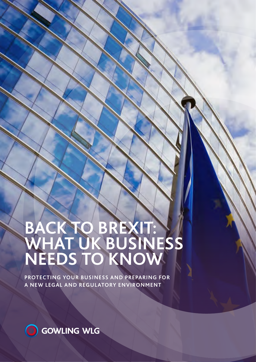# **BACK TO BREXIT: WHAT UK BUSINESS NEEDS TO KNOW**

**PROTECTING YOUR BUSINESS AND PREPARING FOR A NEW LEGAL AND REGULATORY ENVIRONMENT**

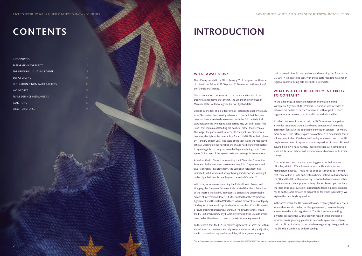#### **WHAT AWAITS US?**

The UK may have left the EU on January 31 of this year, but the effect of this will not felt until 11:00 pm on 31 December on the expiry of the 'transitional' period.

Much speculation continues as to the nature and extent of the trading arrangements that the UK, the EU and the individual 27 Member States will have agreed (or not) by that date.

Despite all the talk of a 'no deal' Brexit – referred to euphemistically as an 'Australian' deal, making reference to the fact that Australia does not have a free trade agreement with the EU, the technical gaps between the two negotiating parties may yet be bridged. The issues that remain outstanding are political, rather than technical. The longer the parties wait to reconcile their political differences, however, the tighter the timetable is for an UK-EU FTA to be in place by 1 January of next year. The scale of the task facing the respective officials working on the negotiations should not be underestimated: to agree legal texts; carry out so called legal scrubbing, or, in Eurospeak, 'toilettage' of the agreed texts; and arrange for translations.

As well as the EU Council representing the 27 Member States, the European Parliament must also review any EU-UK agreement and give its consent. In a statement, the European Parliament has indicated that it would not accept having its "democratic oversight curbed by a last minute deal beyond the end of October."1

With its eyes to issues concerning the Rule of Law in Poland and Hungary, the European Parliament also stated that the publication of the Internal Market bill "represents a serious and unacceptable breach of international law." It further noted that the Withdrawal Agreement and the Ireland/Northern Ireland Protocol were of legally binding force that would apply whether or not the UK and EU agreed a future trading relationship. Further, in 'no circumstances' would the EU Parliament ratify any EU/UK agreement if the UK authorities breached or threatened to breach the Withdrawal Agreement.

To the extent that the FTA is a 'mixed' agreement i.e. areas fall within shared areas or member state only areas, such as security and justice, the EU national and regional assemblies, 38 in all, must also give

<sup>1</sup> https://[www.europarl.europa.eu/news/en/press-room/20200907IPR86513/statement-of-the-uk-coordination-group-and-ep-political-group-leaders.](http://www.europarl.europa.eu/news/en/press-room/20200907IPR86513/statement-of-the-uk-coordination-group-and-ep-political-group-leaders.)

| <b>INTRODUCTION</b>                         | 3  |
|---------------------------------------------|----|
| PREPARATION FOR BREXIT                      | 6  |
| THE NEW UK-EU CUSTOMS BORDER                | 9  |
| <b>SUPPLY CHAINS</b>                        | 14 |
| <b>REGULATION &amp; NON-TARIFF BARRIERS</b> | 16 |
| <b>WORKFORCE</b>                            | 18 |
| <b>TRADE DEFENCE INSTRUMENTS</b>            | 20 |
| <b>SANCTIONS</b>                            | 22 |
| <b>BREXIT TASK FORCE</b>                    | 24 |

their approval. Should that be the case, the coming into force of the UK-EU FTA is likely to be split, with those parts requiring national or regional approval being held over until a later date.

### **WHAT IS A FUTURE AGREEMENT LIKELY TO CONTAIN?**

At the time of its signature alongside the conclusion of the Withdrawal Agreement, the Political Declaration was intended as between the parties to be the 'framework' with respect to which negotiations as between the UK and EU would add the flesh.

It is clear over recent months that the UK Government's appetite is now for little more than a 'bare bones' conventional free trade agreement (but with the addition of benefits on services – of which, more below). The EU for its part, has continued to hold its line that it will not permit the UK to have tariff and quota free access to the EU single market unless it agrees to a 'non-regression' of current EU level playing field (LPF) rules, namely those concerned with competition, state aid, taxation, labour and environmental standards, and climate change.

From what we know, provided a landing place can be found on LPF rules, a UK-EU FTA will result in zero tariffs and quotas on manufactured goods. This is not as good as it sounds, as it means that there will be a trade and customs border introduced as between the EU and the UK, with mandatory customs declarations and other border controls such as phyto-sanitary checks. From a perspective of the 'deal or no deal' question', in relation to trade in goods, business has to do the same amount of preparation for either eventuality. We explore this new landscape below.

In the areas where the UK has most to offer, namely trade in services, as was the case also under the May government, these are largely absent from the trade negotiations. The UK is currently seeking a greater access to the EU market with regard to the provision of services than is generally granted in free trade agreements. Given that the UK has indicated its wish to have regulatory divergence from the EU, this is unlikely to be forthcoming.

# **INTRODUCTION**

# **CONTENTS**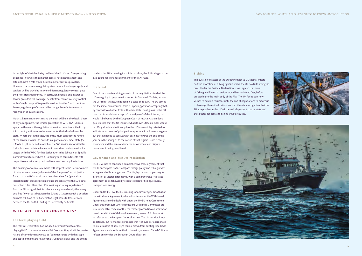#### **Fishing**

The question of access of the EU fishing fleet to UK coastal waters and the allocation of fishing rights is where the UK holds its strongest card. Under the Political Declaration, it was agreed that issues of fishing and financial services would be considered first, before proceeding to the main body of the FTA. The UK for its part now wishes to hold off this issue until the end of negotiations to maximise its leverage. Recent indications are that there is a recognition that the EU accepts that as the UK will be an independent coastal state and that quotas for access to fishing will be reduced.





In the light of the fabled May 'redlines' the EU Council's negotiating deadlines lines were that market access, national treatment and establishment rights would be available for services providers. However, the common regulatory structures will no longer apply and services will be provided in a very different regulatory context post the Brexit Transition Period. In particular, financial and insurance service providers will no longer benefit from 'home' country control with a 'single passport' to provide services in other 'host' countries. So too, regulated professions will no longer benefit from mutual recognition of qualifications.

Much still remains uncertain and the devil will be in the detail. Short of any arrangement, the limited protection of WTO (GATS) rules apply. In the main, the regulation of services provision in the EU by third country entities remains a matter for the individual member state. Where that is the case, the entity must consider the nature of the service it wishes to provide in a particular member state (be it Mode I, II, III or IV and in which of the 160 service sectors it falls); it should then consider what commitment the state in question has lodged with the WTO for that designation in its Schedule of Specific Commitments to see where it is offering such commitments with respect to market access, national treatment and any limitations.

Outstanding concern also remains with respect to the free movement of data, where a recent judgment of the European Court of Justice found that the UK's surveillance laws that allow for "general and indiscriminate" bulk collection of data are contrary to the EU's dataprotection rules. Here, the UK is awaiting an 'adequacy decision' from the EU to signal that its rules are adequate whereby there may be a free flow of data between the EU and UK. Absent such a decision, business will have to find alternative legal bases to transfer data between the EU and UK, adding to uncertainty and costs.

### **WHAT ARE THE STICKING POINTS?**

#### **The level playing field**

The Political Declaration had included a commitment to a "level playing field" to ensure "open and fair" competition, albeit the precise nature of commitments would be "commensurate with the scope and depth of the future relationship". Controversially, and the extent

to which the EU is pressing for this is not clear, the EU is alleged to be also asking for 'dynamic alignment' of the LPF rules.

#### **State aid**

One of the more tantalising aspects of the negotiations is what the UK were going to propose with respect to State aid. To date, among the LPF rules, this issue has been in a class of its own. The EU carried out the initial compromises from its opening position, accepting that, by contrast to all other FTAs with other States contiguous to the EU, that the UK would not accept a 'cut and paste' of the EU rules, nor would it be bound by the European Court of Justice. As a quid pro quo, it asked that the UK indicate what its own State aid rules would be. Only slowly and reticently has the UK in recent days started to indicate what points of principle it may include in a domestic regime, but that it needed to consult with business towards the end of the year or in the Spring as to the nature of that regime. More recently, we understand the issue of domestic enforcement and dispute settlement is being considered.

#### **Governance and dispute resolution**

The EU wishes to conclude a comprehensive trade agreement that would encompass trade, transport, foreign policy and fishing under a single umbrella arrangement. The UK, by contrast, is pressing for a series of bi-lateral agreements, with a comprehensive free trade agreement to be followed by separate deals for fishing, security, transport and energy.

Under an UK-EU FTA, the EU is asking for a similar system to that of the Withdrawal Agreement, where disputes under the Withdrawal Agreement are to be dealt with under the UK-EU Joint Committee. Under this procedure where discussions within this Committee are unresolved after three months, the matter proceeds to an arbitration panel. As with the Withdrawal Agreement, issues of EU law must be referred to the European Court of Justice. The UK position is not as detailed, but its mandate proposes that it should be "appropriate to a relationship of sovereign equals, drawn from existing Free Trade Agreements, such as those the EU has with Japan and Canada" It also refuses any role for the European Court of Justice.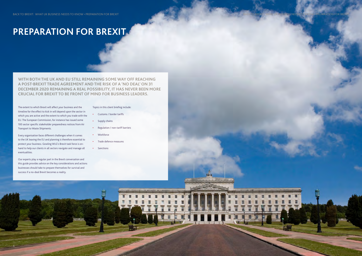**WITH BOTH THE UK AND EU STILL REMAINING SOME WAY OFF REACHING A POST-BREXIT TRADE AGREEMENT AND THE RISK OF A 'NO DEAL' ON 31 DECEMBER 2020 REMAINING A REAL POSSIBILITY, IT HAS NEVER BEEN MORE CRUCIAL FOR BREXIT TO BE FRONT OF MIND FOR BUSINESS LEADERS.**

The extent to which Brexit will affect your business and the timeline for the effect to kick in will depend upon the sector in which you are active and the extent to which you trade with the EU. The European Commission, for instance has issued some 100 sector specific stakeholder preparedness notices from Air Transport to Waste Shipments.

Every organisation faces different challenges when it comes to the UK leaving the EU and planning is therefore essential to protect your business. Gowling WLG's Brexit task force is onhand to help our clients in all sectors navigate and manage all eventualities.

Our experts play a regular part in the Brexit conversation and this guide provides advice on the key considerations and actions businesses should take to prepare themselves for survival and success if a no-deal Brexit becomes a reality.

#### Topics in this client briefing include:

- **•** Customs / border tariffs
- **•** Supply chains
- **•** Regulation / non-tariff barriers

- **•** Workforce
- **•** Trade defence measures
- **•** Sanctions



# <span id="page-3-0"></span>**PREPARATION FOR BREXIT**

**6 7**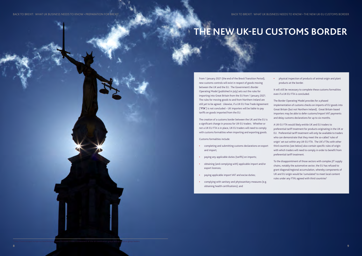From 1 January 2021 (the end of the Brexit Transition Period), new customs controls will exist in respect of goods moving between the UK and the EU. The Government's Border Operating Model (published in July) sets out the rules for importing into Great Britain from the EU from 1 January 2021. The rules for moving goods to and from Northern Ireland are still yet to be agreed. Likewise, if a UK-EU Free Trade Agreement ("**FTA**") is not concluded – UK importers will be liable to pay tariffs on goods imported from the EU.

The creation of a customs border between the UK and the EU is a significant change in process for UK-EU traders. Whether or not a UK-EU FTA is in place, UK-EU traders will need to comply with customs formalities when importing and exporting goods.

- The Border Operating Model provides for a phased implementation of customs checks on imports of EU goods into Great Britain (but not Northern Ireland). Great Britain-based importers may be able to defer customs/import VAT payments and delay customs declarations for up to six months.
- A UK-EU FTA would likely entitle UK and EU traders to preferential tariff treatment for products originating in the UK or EU. Preferential tariff treatment will only be available to traders who can demonstrate that they meet the so-called 'rules of origin' set out within any UK-EU FTA. The UK's FTAs with other third countries (see below) also contain specific rules of origin with which traders will need to comply in order to benefit from preferential tariff treatment.
- To the disappointment of those sectors with complex JIT supply chains, notably the automotive sector, the EU has refused to grant diagonal/regional accumulation, whereby components of UK and EU origin would be 'cumulated' to meet local content rules under any FTA's agreed with third countries<sup>2.</sup>

Customs formalities include:

- **•** completing and submitting customs declarations on export and import;
- **•** paying any applicable duties (tariffs) on imports;
- **•** obtaining (and complying with) applicable import and/or export licences;
- **•** paying applicable import VAT and excise duties;
- **•** complying with sanitary and phytosanitary measures (e.g. obtaining health certifications); and

**•** physical inspection of products of animal origin and plant products at the border.

It will still be necessary to complete these customs formalities even if a UK-EU FTA is concluded.

# <span id="page-4-0"></span>**THE NEW UK-EU CUSTOMS BORDER**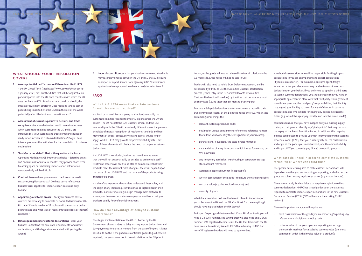#### **WHAT SHOULD YOUR PREPARATION COVER?**

- **1. Assess potential tariff exposure if there is no UK-EU FTA –** the UK Global Tariff (see: https://[www.gov.uk/check-tariffs-](http://www.gov.uk/check-tariffs-1-january-2021)[1-january-2021\)](http://www.gov.uk/check-tariffs-1-january-2021) sets out the duties that will be applicable on goods imported into the UK from countries with which the UK does not have an FTA. To what extent could, or should, this impact procurement strategy? Does reducing landed cost of goods being imported into the UK from the rest of the world potentially affect the business' competitiveness?
- **2. Assessment of current exposure to customs and trade compliance risk –** to what extent could these risks increase when customs formalities between the UK and EU are introduced? Is your customs and trade compliance function ready for an increase in customs declarations? Do you have internal processes that will allow for the completion of customs declarations?
- **3. 'To defer or not defer?' That is the question** the Border Operating Model gives GB importers a choice – deferring duties and declarations for up to six months may provide short-term breathing space but obtaining import/export information retrospectively will be difficult.
- **4. Contract terms** have you reviewed the Incoterms used in customer/supplier contracts? Do these terms reflect your business's risk appetite for import/export costs and duty liability?
- **5. Appointing a customs broker** does your business have a customs broker ready to complete customs declarations for UK-EU trade? Does it need one? If so, how will the customs broker be instructed and what type of representation (direct or indirect) is needed?
- **6. Data requirements for customs declarations** does your business understand the core data requirements for customs declarations, and the legal risks associated with getting this wrong?

**7. Import/export licences –** has your business reviewed whether it moves sensitive goods between the UK and EU that will require an import or export licence from 1 January 2021? Have licence applications been prepared in advance ready for submission?

### **FAQS**

**Will a UK-EU FTA mean that certain customs formalities are not required?** 

No. Deal or no deal, Brexit is going to alter fundamentally the customs formalities required to import / export across the UK-EU border. The UK has left the EU's Customs Union, and the UK's relationship with the EU will be radically different where the previous principles of mutual recognition of regulatory standards and free movement of goods, people, services and capital will no longer apply. A UK-EU FTA may provide for preferential duty rates, but none of these elements will obviate the need to complete customs declarations.

If a UK-EU FTA is concluded, businesses should also be aware that they will not automatically be entitled to preferential tariff treatment. Traders will need to be able to demonstrate that their products meet the relevant rules of origin – these will depend upon the terms of the UK-EU FTA and the nature of the products being imported/exported.

It is therefore important that traders understand these rules, and the origin of any inputs (e.g. raw materials or ingredients) in their products. Consider investing in origin management software to ensure your business can maintain appropriate evidence that your products qualify for preferential treatment.

#### **How do I take advantage of delayed customs declarations?**

The staged implementation of the GB-EU border by the UK Government allows traders to delay making import declarations and duty payments for up to six months from the date of import. It is not possible to do this if the goods are controlled goods (e.g. a licence is required), the goods were not in 'free circulation' in the EU prior to

import, or the goods will not be released into free circulation on the GB market (e.g. the goods will not be sold in GB).

Traders will also need to hold a Duty Deferment Account, and be authorised by HMRC to use the Simplified Customs Declaration process (either Entry in the Declarant's Records or Simplified Customs Declaration Procedure) by the time that declarations must be submitted (i.e. no later than six months after import).

To make a delayed declaration, traders must make a record in their own commercial records at the point the goods enter GB, which sets out among other things the:

- **•** relevant customs procedure code;
- **•** declaration unique consignment reference (a reference number that allows you to identify the consignment in your records);
- **•** purchase and, if available, the sales invoice numbers;
- **•** date and time of entry in records which is used for working out VAT payments;
- **•** any temporary admission, warehousing or temporary storage stock account references;
- **•** warehouse approval number (if applicable);
- **•** written description of the goods to ensure they are identifiable;
- **•** customs value (e.g. the invoiced amount); and
- **•** quantity of goods.

What documentation do I need to have in place to import/export goods between the UK and the EU after Brexit? Is there anything I should have in place before the UK leaves?

To import/export goods between the UK and EU after Brexit, you will need a GB EORI number. The EU importer will also need an EU EORI number. VAT registered businesses in the UK that trade with the EU have been automatically issued UK EORI numbers by HMRC, but non-VAT registered traders will need to apply online.

You should also consider who will be responsible for filing import declarations (if you are an importer) and export declarations (if you are an exporter). For example, a customs agent, freight forwarder or fast parcel operator may be able to submit customs declarations on your behalf. If you do intend to appoint a third party to submit customs declarations, you should ensure that you have an appropriate agreement in place with that third party. This agreement should clearly set out the third party's responsibilities, their liability to you (and your liability to them) for any deficiencies in customs declarations, and who is liable for paying any applicable customs duties (e.g. would the agent pay initially, and later be reimbursed?).

You should ensure that you have mapped out your existing supply chains, so that you can identify any 'pinch points' that may occur on the expiry of the Brexit Transition Period. In addition, this mapping exercise can be used to provide you with information on: the customs procedure codes (CPCs) that you currently rely on, the classification and origin of the goods you import/export, and the amount of duty and import VAT you currently pay (if any) on non-EU products.

#### **What data do I need in order to complete customs formalities? Where can I find this?**

The specific data sets required to make customs declarations will depend on whether you are importing or exporting, and whether the goods are subject to any regulatory control (e.g. export licences).

There are currently 54 data fields that require completion to file a customs declaration. HMRC has issued guidance on the data sets required to complete import/export declarations in the new Customs Declaration Service (CDS). (CDS will replace the existing CHIEF system.)

The most important data you will require are:

- **•** tariff classification of the goods you are importing/exporting by reference to a 10-digit commodity code;
- **•** customs value of the goods you are importing/exporting there are six methods for calculating customs value (the most common of which is the invoice value of a product);

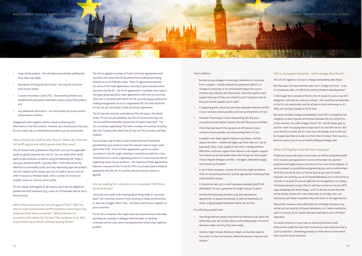#### And in addition:

- **•** Be alive to any changes in invoicing or deliveries or timeliness from a supplier - usually requests for payments upfront, or changes to invoicing, or an unscheduled request for a price increase may indicate cash-flow issues. Does the supplier need support from you (if they are critical to you)? Could you start to line up a second supplier, just in case?
- **•** If supplying goods, check that you have adequate retention of title in your contracts where possible, and start putting them in if not.
- **•** Consider if factoring or invoice discounting can help your successful business better weather the cash-flow issues of others
- **•** Check that you have fit-for-purpose set off clauses in your contracts where possible, and start putting them in if not.
- **•** In project work, keep regular checks on any delays, and the reasons for them - is there risk higher up in the chain (i.e. risk on payment)? Also, if any supplier in the chain is facing cashflow difficulties, customer support from above or sub-supplier support from below can be demanded when the timings are most project critical. Regular dialogue can help - and again, alternative supply can be lined up if needed.
- **•** In all of these scenarios, a review of contracts might be wise to check on exclusivity provisions and for appropriate insolvency/step in/termination clauses.
- **•** It may be too late, but is credit insurance available (and/if still affordable)? Or can a guarantor be sought and put in place?
- **•** And the financial woes of others may also represent an opportunity: to acquire businesses, or parts of businesses, or assets, or good people looking for better job security.

If in difficulty yourself, then:

- **•** Two things that are always important for directors to do, given the duties they owe, are: to take advice; and to keep proper records of decisions made, and why they were made.
- **•** Options might include defensive mergers, or business sales to focus back on the core business, where the business may be most resilient.

#### **VAT is a European-based tax - will it change after Brexit?**

The UK VAT regime is not due to change immediately after Brexit.

But that does not mean that the rates won't change over time - a rise to increase tax take, or a fall if the economy needs a spending boost.

In the longer term, outside of the EU, the UK could of course scrap VAT altogether, and look at a sales tax instead - that would be not dissimilar to the US, but realistically must be at least a short while away, as it's likely just too big a change to try for now.

But what will likely change immediately is how VAT is charged (or not charged) on sales of goods and services between the UK and the EU at the moment, the seller charges 'home' VAT, and the buyer gets to use the 'credit' for paying that as input tax in its own VAT returns. But once the UK is outside the EU, that may well change, and no VAT will be charged (just like on a sale to or from the US today). That may be a boost to exports (as of course would a falling exchange rate).

#### **What will litigation look like from 1 January?**

If there are issues and claims to be made, we will be losing the benefit of EU treaties and regulations on some of the taken-for-granted processes that apply today on an intra-EU but cross-border dispute: on service abroad, on jurisdiction and governing law; and on enforcement. All of this can still be done, of course (just as any non-EU based claimant can currently sue an EU based defendant), but it will not be as smooth, or as quick (if such an adjective can be applied) as it is today. UK-based claimants suing in the EU will have to find out the pre-1973 ways of dealing with these things - and it is almost certain that that will be clunky, slower and more costly than as at today. Anti-suit injunctions and Italian torpedoes may well return to the legal lexicon.

Meanwhile, however, those difficulties for UK-based claimants may not be such an issue for UK-based defendants, as it works exactly the same, in reverse, for EU-based claimants wanting to sue a UK-based defendant.

For some contracts, it may make an arbitral jurisdiction (with enforcement under the New York Convention) more attractive than a Court jurisdiction. Something possibly to think about in more detail than usual for future contracts.

- **•** origin of the product this will determine whether preferential duty rates may apply;
- **•** description of the goods (and mass) this may be critical for post-import audits;
- **•** Customs Procedure Code (CPC) documenting whether any simplification procedures have been used to import the product; and
- **•** any additional information this will include any licence and/or authorisation numbers.

Engagement with suppliers will be critical to obtaining this information in the first instance. However, you should ensure that you do not unduly rely on information provided to you by third parties.

**What will the UK tariff be after Brexit? Where do I find the UK tariff regime and which goods does this cover?**

The UK Global Tariff, published in May 2020, sets out the applicable duties on goods imported into the UK. You can check which tariffs apply to your business's products using the following link: https:// [www.gov.uk/check-tariffs-1-january-2021](http://www.gov.uk/check-tariffs-1-january-2021). Tariff rates are set by reference to commodity codes, and vary depending upon the product. The UK's Global Tariff is based upon the EU tariff in force in the UK while it was an EU Member State, with a number of revisions to simplify, reduce or remove certain tariffs.

The UK Global Tariff applies to all imports which are not eligible for preferential tariff treatment (e.g. under an FTA between the UK and a third country).

**With which countries has the UK agreed FTAs? Will I be able to claim preferential tariff treatment when importing products from these countries? Will purchasers in countries with which the EU has FTAs continue to be able to purchase my products without paying duties?**

The UK has agreed a number of Trade Continuity Agreements with countries with which the UK benefitted from preferential trading relations as an EU Member State. These 21 agreements replicate the terms of the trade agreements currently in place between these countries and the EU. The list of agreements is available here: https:// [www.gov.uk/guidance/uk-trade-agreements-with-non-eu-countries.](http://www.gov.uk/guidance/uk-trade-agreements-with-non-eu-countries) There are 17 countries with which the UK currently enjoys preferential trading arrangements via an EU-negotiated FTA, but with which the UK has not yet concluded a Trade Continuity Agreement.

The UK has also recently concluded an FTA with Japan. The details of the FTA are not yet published, but the UK Government says this "secures additional benefits beyond the EU-Japan trade deal". The UK is currently negotiating FTAs with a number of countries including the USA, Canada (with whom the EU has an FTA), Australia and New Zealand.

Your business may be able to claim preferential tariff treatment provided that your products meet the relevant rules of origin under each of the FTAs. Some of these agreements permit so-called 'cumulation' with EU-origin, whereby it would be possible for a time limited period to use EU originating products to count towards the UK originating status of your products. The majority of these agreements, however, only permit this if a UK-EU FTA is concluded (and a trilateral agreement with the UK, EU and the relevant partner country is agreed).

**Are we heading for a downturn, or a recession? Will there be insolvencies?**

Obviously one needs to be thinking about being ready to 'recession proof' one's business, as even if your business is ready, and flourishes, or does not struggle, others may - and they could be your suppliers or your customers.

For all sorts of reasons, this might mean an enhanced focus internally and likely (or usefully) in dialogue with the bank, on banking covenants and on cash, and on lending facilities where they might be prudent.

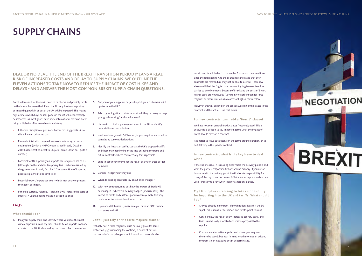**DEAL OR NO DEAL, THE END OF THE BREXIT TRANSITION PERIOD MEANS A REAL RISK OF INCREASED COSTS AND DELAY TO SUPPLY CHAINS. WE OUTLINE THE ELEVEN ACTIONS TO TAKE NOW TO REDUCE THE IMPACT OF COST HIKES AND DELAYS - AND ANSWER THE MOST COMMON BREXIT SUPPLY CHAIN QUESTIONS.** 

Brexit will mean that there will need to be checks and possibly tariffs on the border between the UK and the EU. Any business exporting or importing goods in or out of the UK will be impacted. This means any business which buys or sells goods in the UK will near certainly be impacted, as most goods have some international element. Brexit brings a high risk of increased costs and delay:

- **•** If there is disruption at ports and border crossing points if so, this will mean delay and cost.
- **•** More administration required to cross borders eg customs declarations (which a HMRC report issued in early October 2019 has forecast as a cost to UK plc of some £15bn pa - quite a number).
- **•** Potential tariffs, especially on imports. This may increase costs (although, on the updated temporary tariffs schedule issued by the government in early October 2019, some 88% of imported goods are planned to be tariff free).
- **•** Potential export/import controls which may delay or prevent the export or import.
- **•** If there is currency volatility a falling £ will increase the costs of imports. A volatile pound makes it difficult to price.

### **FAQS**

#### **What should I do?**

**1.** Map your supply chain and identify where you have the most critical exposures. Your key focus should be on imports from and exports to the EU. Understanding the issues is half the solution.

- **2.** Can you or your suppliers or (less helpful) your customers build up stocks in the UK?
- **3.** Talk to your logistics providers what will they be doing to keep your goods moving? And at what cost?
- **4.** Liaise with critical suppliers/customers in the EU to identify potential issues and solutions.
- **5.** Work out how you will fulfil export/import requirements such as completing customs declarations.
- **6.** Identify the impact of tariffs. Look at the UK's proposed tariffs, and those may need to be priced into on-going contracts and future contracts, where commercially that is possible.
- **7.** Build in contingency time for the risk of delays on cross border deliveries.
- **8.** Consider hedging currency risk.
- **9.** What do existing contracts say about price changes?
- **10.** With new contracts, map out how the impact of Brexit will be managed - where will delivery happen (and risk pass) - the impact of tariffs and customs paperwork may make this very much more important than it used to be.
- **11.** If you are a UK business, make sure you have an EORI number that starts with GB.

#### **Can't I just rely on the force majeure clause?**

Probably not. A force majeure clause normally provides some protection (e.g suspending the contract) if an event outside the control of a party happens which could not reasonably be

anticipated. It will be hard to prove this for contracts entered into since the referendum. And the courts have indicated that even contracts pre referendum may not be able to use this – case law shows well that the English courts are not going to want to allow parties to avoid contracts because of Brexit and the costs of Brexit. Higher costs are not usually (i.e virtually never) enough for force majeure, or for frustration as a matter of English contract law.

However, this will depend on the precise wording of the clause in the contract and the actual issue that arises.

**For new contracts, can I add a "Brexit" clause?**

We have not seen general Brexit clauses frequently used. This is because it is difficult to say in general terms what the impact of Brexit should have on a contract.

It is better to focus specifically on the terms around duration, price and delivery in the specific contract.

#### **In new contracts, what is the key issue to deal with?**

If there is one issue, it is making clear where the delivery point is and what the parties' responsibilities are around delivery. If you use an Incoterm with the delivery point, it will allocate responsibility for many of the key issues. Incoterms 2020 are now in place and correct use of Incoterms is key when looking at responsibilities.

**My EU supplier is refusing to take responsibility for importing into the UK and tariffs. What should I do?**

- **•** Are you already in contract? If so what does it say? If the EU supplier is responsible for import and tariffs, point this out.
- **•** Consider how the risk of delay, increased delivery costs, and tariffs can be fairly allocated and make a proposal to the supplier.
- **•** Consider an alternative supplier and where you may want them to be based, but bear in mind whether or not an existing contract is non-exclusive or can be terminated.

## <span id="page-7-0"></span>**SUPPLY CHAINS**

# **BREXIT**

**NEGOTIATION**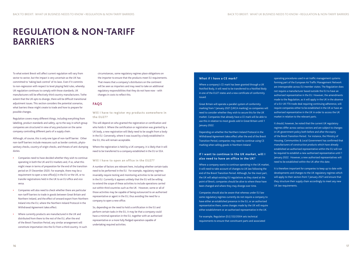To what extent Brexit will affect current regulation will vary from sector to sector, but the impact is very uncertain as the UK has committed to 'taking back control' of its laws. Even if it commits to non-regression with respect to level playing field rules, whereby UK regulation continues to comply with those standards, UK manufacturers will be effectively third country manufacturers. Tothe extent that the UK opts to diverge, there will be difficult transitional adjustment issues. This section considers the potential scenarios, what barriers these might create to trade and how to prepare for possible changes.

Regulation covers many different things, including everything from labelling, product standards and safety, up to the way in which group companies are structured in view of any preclusion on the same company controlling different parts of a supply chain.

Although, of course, this is only one type of non-tariff barrier. Other non-tariff barriers include measures such as border controls, phytosanitary checks, country of origin checks, and threats of anti-dumping duties.

- **•** Companies need to have decided whether they wish to continue operating in both the UK and EU markets and, if so, what this might mean in terms of preparation for the end of the transition period on 31 December 2020. For example, there may be a requirement to open a new office(s) in the EU or the UK, or to transfer registrations held in the UK to an EU office and vice versa.
- **•** Companies will also need to check whether there are particular non-tariff barriers to trade in goods between Great Britain and Northern Ireland, and the effect of onward export from Northern Ireland into the EU, where the Northern Ireland Protocol in the Withdrawal Agreement takes effect.
- **•** Where currently products are manufactured in the UK and distributed from there to the rest of the EU, after the end of the Brexit Transition Period, any similar arrangement will constitute importation into the EU from a third country. In such

circumstances, some regulatory regimes place obligations on the importer to ensure that the products meet EU requirements. That means that a company's distributors on the continent will be seen as importers and may need to take on additional regulatory responsibilities that they do not have now - with changes in costs to reflect this.

#### **FAQS**

#### **Will I have to register my products somewhere in the EU27?**

This will depend on who granted the registration or certification and who holds it. Where the certification or registration was granted by a UK body, a new registration will likely need to be sought from a body in the EU. Conversely, where it was issued by a body established in the EU, this will remain acceptable.

Where the registration is held by a UK company, it is likely that it will need to be transferred to a company established in the EU or EEA.

#### **Will I have to open an office in the EU27?**

A number of factors are relevant here, including whether certain tasks need to be performed in the EU. For example, regulatory regimes invariably require testing and monitoring activities to be carried out in the EU. Currently it appears unlikely that the EU will be willing to extend the scope of these activities to include operations carried out within third countries such as the UK. However, some or all of those activities may be capable of being outsourced to an authorised representative or agent in the EU, thus avoiding the need for a company to open a new office.

So, depending on the need to hold a certification in the EU and perform certain tasks in the EU, it may be that a company could have a minimal operation in the EU, together with an authorised representative or a more fully fledged operation capable of undertaking required activities.

#### **What if I have a CE mark?**

Where a company's CE mark has been granted through a UK Notified Body, it will need to be transferred to a Notified Body in one of the EU27 states and a new certificate of conformity issued.

Great Britain will operate a parallel system of conformity marking from 1 January 2021 (UKCA marking) so companies will need to consider whether they wish to secure this for the UK market. Companies that already have a CE mark will be able to use this in relation to most goods sold in Great Britain until 1 January 2022.

Depending on whether the Northern Ireland Protocol in the Withdrawal Agreement takes effect after the end of the Brexit Transition Period, companies may need to continue using CE marking when selling goods in Northern Ireland.

#### **If I want to continue in the UK market, will I also need to have an office in the UK?**

Where a company wants to continue operating in the UK market, it will need to take account of changes to UK law following the end of the Brexit Transition Period. Although, for the most part, the UK will adopt existing EU regulations as they stand at the point of Brexit, companies should be alive to where these have been changed and where they may diverge over time.

Companies should also be aware that whereas under EU law some regulatory regimes currently do not require a company to have either an established presence in the EU, or an authorised representative there, some changes made by the UK will require either establishment or an authorised representative in the UK.

For example, Regulation (EU) 552/2004 sets technical requirements to ensure that constituent parts and associated operating procedures used in air traffic management systems forming part of the European Air Traffic Management Network are interoperable across EU member states. The Regulation does not require a manufacturer based outside the EU to have an authorised representative in the EU. However, the amendments made to the Regulation, as it will apply in the UK in the absence of a EU-UK FTA trade deal requiring continuing adherence, will require companies either to be established in the UK or have an authorised representative in the UK in order to access the UK market in relation to the relevant parts.

It should, however, be noted that the current UK regulatory regimes differ across various sectors and are subject to changes in UK government policy both before and after the expiry of the Brexit Transition Period. For instance, the Ministry of Housing, Communities & Local Government has confirmed that manufacturers of construction products which have already established an authorised representative within the EU will not be required to establish a new authorised representative until 1 January 2022. However, a new authorised representatives will need to be established within the UK after this date.

It is therefore important for companies to keep up to date with developments and changes to the UK regulatory regimes which will apply to their sectors from 1 January 2021 and ensure that they structure their supply chain accordingly to meet any new UK law requirements.

### <span id="page-8-0"></span>**REGULATION & NON-TARIFF BARRIERS**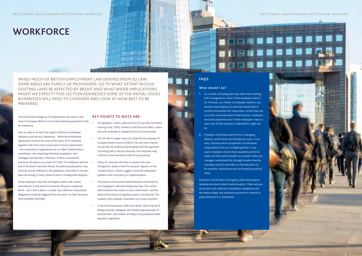# **FAQS**



- **1.** As a matter of employment law, other than checking EWC arrangements, there is little employers have to do. However, as a matter of employee relations, any business that employs EU nationals should look to continue to provide such reassurance, as best they can, as to their continued value to that business. Employers should be aware that even if their employees' status is clear, that of their partners or dependents might not be.
- **2.** Employers should be aware of this in managing absence, performance and disciplinary issues. In our view, Tribunals will be sympathetic to individuals citing related stress as a mitigating factor in any cases. Employers should check equalities policies to make sure that political beliefs are covered. Make sure managers understand this, through broader diversity training or specific reminders, so that decisions on, for example, redundancies are not tainted by political views.

Employers should check contingency plans that propose redundancies due to Brexit trade disruption. Make sure you are familiar with collective consultation obligations and are ready to begin any necessary processes to respond to political decisions or statements.

## **WORKFORCE**

**WHILE MUCH OF BRITISH EMPLOYMENT LAW DERIVES FROM EU LAW, SOME AREAS ARE PURELY UK PROVISIONS. SO TO WHAT EXTENT WOULD EXISTING LAWS BE AFFECTED BY BREXIT AND WHAT WIDER IMPLICATIONS MIGHT WE EXPECT? THIS SECTION ADDRESSES SOME OF THE INITIAL ISSUES BUSINESSES WILL NEED TO CONSIDER AND LOOK AT HOW BEST TO BE PREPARED.**

The only formal changes to UK employment law come in the areas of European Works Councils and employee guarantee funds for insolvency.

Even so, deal or no deal, the impact of Brexit on employee relations could be very substantial. While the Withdrawal Agreement resolved the issue of the status of EU nationals together with hints from Government of strict enforcement – the uncertainty of applications for so called 'Settled Status' nonetheless risks impacting individual employees, their colleagues and partners. Moreover, if there is substantial economic disruption as a result of COVID-19, lockdowns and the end of the Brexit Transition Period, the political polarisation may intensify and be reflected in the workplace, with belief in remain/ leave becoming in itself a head of claim in employment disputes.

Some employers may have contingency plans that involve redundancies in the event of economic disruption caused by Brexit – be it with a deal, or no deal. Any collective consultation obligations would be triggered from the point 'no deal' becomes most probably inevitable.

#### **KEY POINTS TO NOTE ARE:**

- **•** UK legislation, which is derived from EU law (discrimination, working-time, TUPE), remains in full force and effect, unless and until amended or repealed by the UK Government.
- **•** The UK will no longer count as a State for the purposes of European Works Councils (EWCs). No new ones may be set up with UK workforce participation and the operation of existing EWCs may be impacted; Irish nationals may continue to live and work in the UK as previously.
- **•** Other EU nationals will have to resolve their own immigration status in the first instance. Reports on the 'Settled Status' scheme suggest continued substantial problems and uncertainty in implementation.
- **•** The previous Conservative administration committed to not changing EU-derived employment law. The current administration has made no such commitment, and has reduced the amount of guidance given to businesses. The medium-term outlook is therefore now more uncertain.
- **•** In the event businesses suffer post-Brexit, there may be ill feeling towards colleagues who backed opposing sides of leave/remain. Such beliefs are likely to be protected under equalities legislation.

<span id="page-9-0"></span>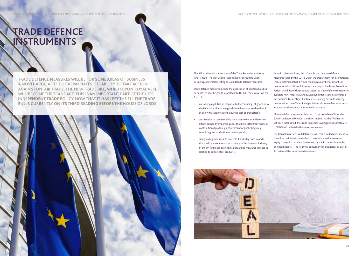<span id="page-10-0"></span>BACK TO BREXIT: WHAT UK BUSINESS NEEDS TO KNOW • TRADE DEFENCE INSTRUMENTS DESCRIPTION OF DEFENCE INSTRUMENTS DESCRIPTION OF DEFENCE INSTRUMENTS DESCRIPTION OF DEFENCE INSTRUMENTS DESCRIPTION OF DEFENCE INSTRUMENTS

**TRADE DEFENCE MEASURES WILL BE FOR SOME AREAS OF BUSINESS A NOVEL AREA, AS THE UK REPATRIATES THE ABILITY TO TAKE ACTION AGAINST UNFAIR TRADE. THE NEW TRADE BILL, WHICH UPON ROYAL ASSET WILL BECOME THE TRADE ACT. THIS IS AN IMPORTANT PART OF THE UK'S INDEPENDENT TRADE POLICY NOW THAT IT HAS LEFT THE EU. THE TRADE BILL IS CURRENTLY ON ITS THIRD READING BEFORE THE HOUSE OF LORDS.** 

### **TRADE DEFENCE INSTRUMENTS**

The Bill provides for the creation of the Trade Remedies Authority (the "**TRA**"). The TRA will be responsible for consulting upon, designing, and implementing so-called trade defence measures.

Trade defence measures include the application of additional duties or quotas to specific goods imported into the UK, these may take the form of:

- **•** anti-dumping duties: in response to the 'dumping' of goods onto the UK market (i.e. where goods have been exported to the UK at below market prices or below the cost of production);
- **•** anti-subsidy or countervailing measures: to counter distortive effects caused by imported goods that benefitted from financial contributions by a foreign government or public body (e.g. subsidising the production of certain goods);
- **•** safeguarding measures: to protect UK industry from imports that are likely to cause material injury to the domestic industry of the UK (there are currently safeguarding measures in place in relation to certain steel products).



As an EU Member State, the UK was bound by trade defence measures taken by the EU. In 2019, the Department for International Trade determined that it would maintain a number of extant EU measures within UK law following the expiry of the Brexit Transition Period. A full list of the products subject to trade defence measures is available here: https:/[/www.gov.uk/government/consultations/call](http://www.gov.uk/government/consultations/call-for-evidence-to-identify-uk-interest-in-existing-eu-trade-remedy-measures/outcome/final-findings-of-the-call-for-evidence-into-uk-interest-in-existing-eu-trade-remedy-measures)[for-evidence-to-identify-uk-interest-in-existing-eu-trade-remedy](http://www.gov.uk/government/consultations/call-for-evidence-to-identify-uk-interest-in-existing-eu-trade-remedy-measures/outcome/final-findings-of-the-call-for-evidence-into-uk-interest-in-existing-eu-trade-remedy-measures)[measures/outcome/final-findings-of-the-call-for-evidence-into-uk](http://www.gov.uk/government/consultations/call-for-evidence-to-identify-uk-interest-in-existing-eu-trade-remedy-measures/outcome/final-findings-of-the-call-for-evidence-into-uk-interest-in-existing-eu-trade-remedy-measures)[interest-in-existing-eu-trade-remedy-measures](http://www.gov.uk/government/consultations/call-for-evidence-to-identify-uk-interest-in-existing-eu-trade-remedy-measures/outcome/final-findings-of-the-call-for-evidence-into-uk-interest-in-existing-eu-trade-remedy-measures)

All trade defence measures that the UK has 'rolled over' from the EU will undergo a UK-wide 'transition review'. As the TRA has not yet been established, the Trade Remedies Investigations Directorate ("TRID") will undertake the transition reviews.

The transition reviews will determine whether a 'rolled over' measure should be maintained, amended or revoked upon the measure's expiry date (with this date determined by the EU in relation to the original measure). The TRID will consult British businesses as part of its review of the transitioned measures.

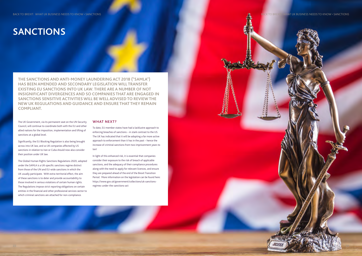**THE SANCTIONS AND ANTI-MONEY LAUNDERING ACT 2018 ("SAMLA") HAS BEEN AMENDED AND SECONDARY LEGISLATION WILL TRANSFER EXISTING EU SANCTIONS INTO UK LAW. THERE ARE A NUMBER OF NOT INSIGNIFICANT DIVERGENCES AND SO COMPANIES THAT ARE ENGAGED IN SANCTIONS SENSITIVE ACTIVITIES WILL BE WELL ADVISED TO REVIEW THE NEW UK REGULATIONS AND GUIDANCE AND ENSURE THAT THEY REMAIN COMPLIANT.** 

The UK Government, via its permanent seat on the UN Security Council, will continue to coordinate both with the EU and other allied nations for the imposition, implementation and lifting of sanctions at a global level.

Significantly, the EU Blocking Regulation is also being brought across into UK law, and so UK companies affected by US sanctions in relation to Iran or Cuba should now also consider their position under UK law.

The Global Human Rights Sanctions Regulations 2020, adopted under the SAMLA is a UK-specific sanctions regime distinct from those of the UN and EU-wide sanctions in which the UK usually participate. With extra-territorial effect, the aim of these sanctions is to deter and provide accountability to those involved in serious violations of certain human rights. The Regulations impose strict reporting obligations on certain entities in the financial and other professional services sector to which criminal sanctions are attached for non-compliance.

### **WHAT NEXT?**

To date, EU member states have had a lacklustre approach to enforcing breaches of sanctions – in stark contrast to the US. The UK has indicated that it will be adopting a far more active approach to enforcement than it has in the past – hence the increase of criminal sanctions from two imprisonment years to ten!

In light of this enhanced risk, it is essential that companies consider their exposure to the risk of breach of applicable sanctions, and the adequacy of their compliance procedures along with the need to apply for relevant licences, and ensure they are prepared ahead of the end of the Brexit Transition Period. More information on the legislation can be found here: https://[www.gov.uk/government/collections/uk-sanctions](https://www.gov.uk/government/collections/uk-sanctions-regimes-under-the-sanctions-act)[regimes-under-the-sanctions-act](https://www.gov.uk/government/collections/uk-sanctions-regimes-under-the-sanctions-act)

### **SANCTIONS**

<span id="page-11-0"></span>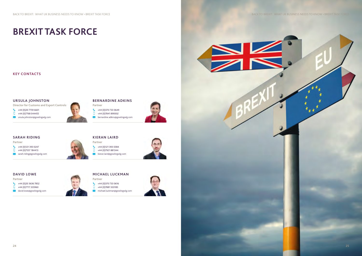# **BREXIT TASK FORCE**

### **KEY CONTACTS**

### **URSULA JOHNSTON**

**Director for Customs and Export Controls**

- $\begin{array}{r} \leftarrow \end{array}$  +44 (0)20 7759 6601
- $\Box$  +44 (0)7768 044455
- ursula.johnston@gowlingwlg.com

- $\leftarrow$  +44 (0)20 3636 7852
- $\Box$  +44 (0) 7717 335960
- david.lowe@gowlingwlg.com

#### **DAVID LOWE**

- $\begin{array}{cc} \bullet & +44 \ (0) 121 393 0384 \end{array}$
- $\Box$  +44 (0)7921 881344
- kieran.laird@gowlingwlg.com



#### **Partner**

- $\leftarrow$  +44 (0)370 733 0616  $\Box$  +44 (0) 7881 503185
- michael.luckman@gowlingwlg.com





#### **MICHAEL LUCKMAN**

#### **Partner**

### **BERNARDINE ADKINS**

- **Partner**
- $\begin{array}{r} \leftarrow \end{array}$  +44 (0)370 733 0649
- $\Box$  +44 (0)7841 899302
- bernardine.adkins@gowlingwlg.com





#### **SARAH RIDING**

**Partner**

- +44 (0)121 393 0247
- +44 (0)7557 184413
- sarah.riding@gowlingwlg.com

<span id="page-12-0"></span>